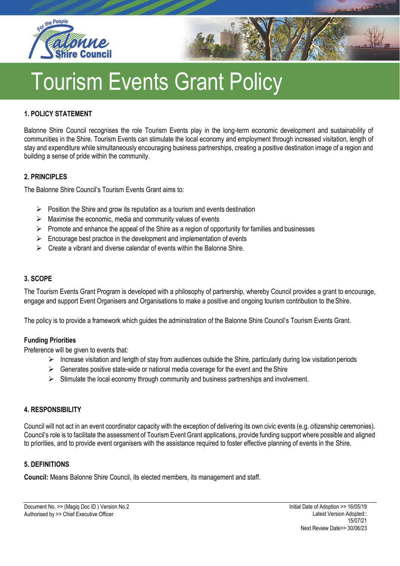



#### **1. POLICY STATEMENT**

Balonne Shire Council recognises the role Tourism Events play in the long-term economic development and sustainability of communities in the Shire. Tourism Events can stimulate the local economy and employment through increased visitation, length of stay and expenditure while simultaneously encouraging business partnerships, creating a positive destination image of a region and building a sense of pride within the community.

#### **2. PRINCIPLES**

The Balonne Shire Council's Tourism Events Grant aims to:

- $\triangleright$  Position the Shire and grow its reputation as a tourism and events destination
- $\triangleright$  Maximise the economic, media and community values of events
- $\triangleright$  Promote and enhance the appeal of the Shire as a region of opportunity for families and businesses
- $\triangleright$  Encourage best practice in the development and implementation of events
- $\triangleright$  Create a vibrant and diverse calendar of events within the Balonne Shire.

#### **3. SCOPE**

The Tourism Events Grant Program is developed with a philosophy of partnership, whereby Council provides a grant to encourage, engage and support Event Organisers and Organisations to make a positive and ongoing tourism contribution to theShire.

The policy is to provide a framework which guides the administration of the Balonne Shire Council's Tourism Events Grant.

## **Funding Priorities**

Preference will be given to events that:

- $\triangleright$  Increase visitation and length of stay from audiences outside the Shire, particularly during low visitation periods
- $\triangleright$  Generates positive state-wide or national media coverage for the event and the Shire
- $\triangleright$  Stimulate the local economy through community and business partnerships and involvement.

#### **4. RESPONSIBILITY**

Council will not act in an event coordinator capacity with the exception of delivering its own civic events (e.g. citizenship ceremonies). Council's role is to facilitate the assessment of Tourism Event Grant applications, provide funding support where possible and aligned to priorities, and to provide event organisers with the assistance required to foster effective planning of events in the Shire.

#### **5. DEFINITIONS**

**Council:** Means Balonne Shire Council, its elected members, its management and staff.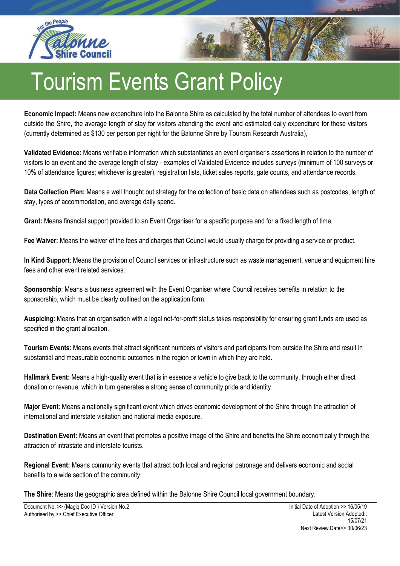



**Economic Impact:** Means new expenditure into the Balonne Shire as calculated by the total number of attendees to event from outside the Shire, the average length of stay for visitors attending the event and estimated daily expenditure for these visitors (currently determined as \$130 per person per night for the Balonne Shire by Tourism Research Australia),

**Validated Evidence:** Means verifiable information which substantiates an event organiser's assertions in relation to the number of visitors to an event and the average length of stay - examples of Validated Evidence includes surveys (minimum of 100 surveys or 10% of attendance figures; whichever is greater), registration lists, ticket sales reports, gate counts, and attendance records.

**Data Collection Plan:** Means a well thought out strategy for the collection of basic data on attendees such as postcodes, length of stay, types of accommodation, and average daily spend.

**Grant:** Means financial support provided to an Event Organiser for a specific purpose and for a fixed length of time.

**Fee Waiver:** Means the waiver of the fees and charges that Council would usually charge for providing a service or product.

**In Kind Support**: Means the provision of Council services or infrastructure such as waste management, venue and equipment hire fees and other event related services.

**Sponsorship**: Means a business agreement with the Event Organiser where Council receives benefits in relation to the sponsorship, which must be clearly outlined on the application form.

**Auspicing**: Means that an organisation with a legal not-for-profit status takes responsibility for ensuring grant funds are used as specified in the grant allocation.

**Tourism Events**: Means events that attract significant numbers of visitors and participants from outside the Shire and result in substantial and measurable economic outcomes in the region or town in which they are held.

**Hallmark Event:** Means a high-quality event that is in essence a vehicle to give back to the community, through either direct donation or revenue, which in turn generates a strong sense of community pride and identity.

**Major Event**: Means a nationally significant event which drives economic development of the Shire through the attraction of international and interstate visitation and national media exposure.

**Destination Event:** Means an event that promotes a positive image of the Shire and benefits the Shire economically through the attraction of intrastate and interstate tourists.

**Regional Event:** Means community events that attract both local and regional patronage and delivers economic and social benefits to a wide section of the community.

**The Shire**: Means the geographic area defined within the Balonne Shire Council local government boundary.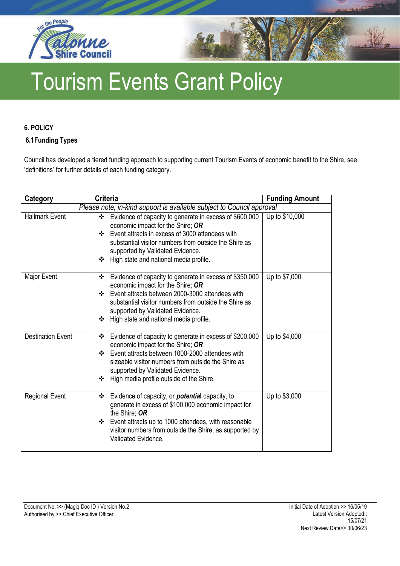



## **6. POLICY**

## **6.1Funding Types**

Council has developed a tiered funding approach to supporting current Tourism Events of economic benefit to the Shire, see 'definitions' for further details of each funding category.

| Category                                                              | <b>Criteria</b>                                                                                                                                                                                                                                                                                                  | <b>Funding Amount</b> |  |
|-----------------------------------------------------------------------|------------------------------------------------------------------------------------------------------------------------------------------------------------------------------------------------------------------------------------------------------------------------------------------------------------------|-----------------------|--|
| Please note, in-kind support is available subject to Council approval |                                                                                                                                                                                                                                                                                                                  |                       |  |
| <b>Hallmark Event</b>                                                 | Evidence of capacity to generate in excess of \$600,000<br>❖<br>economic impact for the Shire; OR<br>Event attracts in excess of 3000 attendees with<br>$\mathbf{A}$<br>substantial visitor numbers from outside the Shire as<br>supported by Validated Evidence.<br>High state and national media profile.<br>❖ | Up to \$10,000        |  |
| Major Event                                                           | Evidence of capacity to generate in excess of \$350,000<br>❖<br>economic impact for the Shire; OR<br>Event attracts between 2000-3000 attendees with<br>$\cdot$<br>substantial visitor numbers from outside the Shire as<br>supported by Validated Evidence.<br>❖ High state and national media profile.         | Up to \$7,000         |  |
| <b>Destination Event</b>                                              | Evidence of capacity to generate in excess of \$200,000<br>❖<br>economic impact for the Shire; OR<br>❖ Event attracts between 1000-2000 attendees with<br>sizeable visitor numbers from outside the Shire as<br>supported by Validated Evidence.<br>High media profile outside of the Shire.<br>❖                | Up to \$4,000         |  |
| <b>Regional Event</b>                                                 | Evidence of capacity, or <b>potential</b> capacity, to<br>❖<br>generate in excess of \$100,000 economic impact for<br>the Shire: OR<br>Event attracts up to 1000 attendees, with reasonable<br>❖<br>visitor numbers from outside the Shire, as supported by<br>Validated Evidence.                               | Up to \$3,000         |  |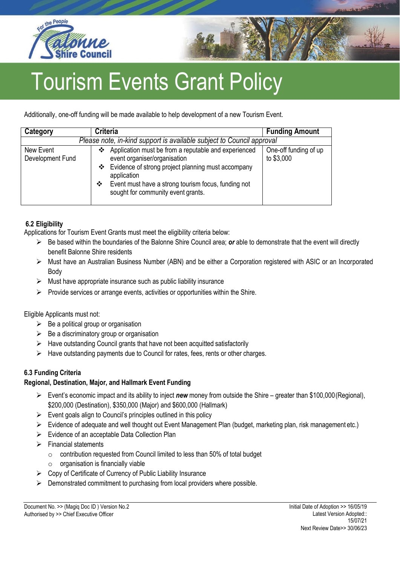



# Tourism Events Grant Policy

Additionally, one-off funding will be made available to help development of a new Tourism Event.

| Category                                                              | <b>Criteria</b>                                                                                                                                                                                                                                                    | <b>Funding Amount</b>               |  |  |
|-----------------------------------------------------------------------|--------------------------------------------------------------------------------------------------------------------------------------------------------------------------------------------------------------------------------------------------------------------|-------------------------------------|--|--|
| Please note, in-kind support is available subject to Council approval |                                                                                                                                                                                                                                                                    |                                     |  |  |
| New Event<br>Development Fund                                         | Application must be from a reputable and experienced<br>❖<br>event organiser/organisation<br>❖ Evidence of strong project planning must accompany<br>application<br>Event must have a strong tourism focus, funding not<br>❖<br>sought for community event grants. | One-off funding of up<br>to \$3,000 |  |  |

# **6.2 Eligibility**

Applications for Tourism Event Grants must meet the eligibility criteria below:

- ➢ Be based within the boundaries of the Balonne Shire Council area; *or* able to demonstrate that the event will directly benefit Balonne Shire residents
- ➢ Must have an Australian Business Number (ABN) and be either a Corporation registered with ASIC or an Incorporated Body
- $\triangleright$  Must have appropriate insurance such as public liability insurance
- $\triangleright$  Provide services or arrange events, activities or opportunities within the Shire.

Eligible Applicants must not:

- $\triangleright$  Be a political group or organisation
- $\triangleright$  Be a discriminatory group or organisation
- $\triangleright$  Have outstanding Council grants that have not been acquitted satisfactorily
- ➢ Have outstanding payments due to Council for rates, fees, rents or other charges.

# **6.3 Funding Criteria**

# **Regional, Destination, Major, and Hallmark Event Funding**

- ➢ Event's economic impact and its ability to inject *new* money from outside the Shire greater than \$100,000(Regional), \$200,000 (Destination), \$350,000 (Major) and \$600,000 (Hallmark)
- $\triangleright$  Event goals align to Council's principles outlined in this policy
- ➢ Evidence of adequate and well thought out Event Management Plan (budget, marketing plan, risk management etc.)
- ➢ Evidence of an acceptable Data Collection Plan
- ➢ Financial statements
	- o contribution requested from Council limited to less than 50% of total budget
	- $\circ$  organisation is financially viable
- ➢ Copy of Certificate of Currency of Public Liability Insurance
- ➢ Demonstrated commitment to purchasing from local providers where possible.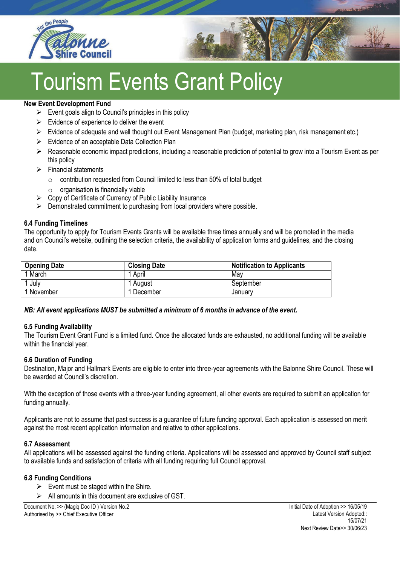



# **Tourism Events Grant Policy**

#### **New Event Development Fund**

- $\triangleright$  Event goals align to Council's principles in this policy
- $\triangleright$  Evidence of experience to deliver the event
- ➢ Evidence of adequate and well thought out Event Management Plan (budget, marketing plan, risk management etc.)
- ➢ Evidence of an acceptable Data Collection Plan
- $\triangleright$  Reasonable economic impact predictions, including a reasonable prediction of potential to grow into a Tourism Event as per this policy
- $\triangleright$  Financial statements
	- o contribution requested from Council limited to less than 50% of total budget
	- $\circ$  organisation is financially viable
- $\triangleright$  Copy of Certificate of Currency of Public Liability Insurance
- $\triangleright$  Demonstrated commitment to purchasing from local providers where possible.

## **6.4 Funding Timelines**

The opportunity to apply for Tourism Events Grants will be available three times annually and will be promoted in the media and on Council's website, outlining the selection criteria, the availability of application forms and guidelines, and the closing date.

| <b>Opening Date</b> | <b>Closing Date</b> | <b>Notification to Applicants</b> |
|---------------------|---------------------|-----------------------------------|
| 1 March             | April               | May                               |
| July                | August              | September                         |
| 1 November          | December            | Januarv                           |

#### *NB: All event applications MUST be submitted a minimum of 6 months in advance of the event.*

#### **6.5 Funding Availability**

The Tourism Event Grant Fund is a limited fund. Once the allocated funds are exhausted, no additional funding will be available within the financial year.

#### **6.6 Duration of Funding**

Destination, Major and Hallmark Events are eligible to enter into three-year agreements with the Balonne Shire Council. These will be awarded at Council's discretion.

With the exception of those events with a three-year funding agreement, all other events are required to submit an application for funding annually.

Applicants are not to assume that past success is a guarantee of future funding approval. Each application is assessed on merit against the most recent application information and relative to other applications.

#### **6.7 Assessment**

All applications will be assessed against the funding criteria. Applications will be assessed and approved by Council staff subject to available funds and satisfaction of criteria with all funding requiring full Council approval.

#### **6.8 Funding Conditions**

- $\triangleright$  Event must be staged within the Shire.
- $\triangleright$  All amounts in this document are exclusive of GST.

Document No. >> (Magiq Doc ID ) Version No.2 Authorised by >> Chief Executive Officer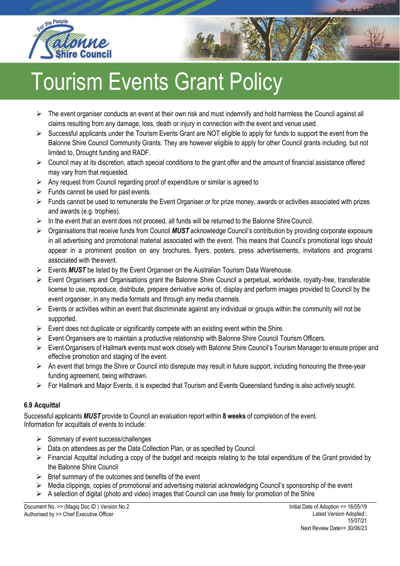



- ➢ The event organiser conducts an event at their own risk and must indemnify and hold harmless the Council against all claims resulting from any damage, loss, death or injury in connection with the event and venue used.
- $\triangleright$  Successful applicants under the Tourism Events Grant are NOT eligible to apply for funds to support the event from the Balonne Shire Council Community Grants. They are however eligible to apply for other Council grants including, but not limited to, Drought funding and RADF.
- ➢ Council may at its discretion, attach special conditions to the grant offer and the amount of financial assistance offered may vary from that requested.
- $\triangleright$  Any request from Council regarding proof of expenditure or similar is agreed to
- $\triangleright$  Funds cannot be used for past events.
- ➢ Funds cannot be used to remunerate the Event Organiser or for prize money, awards or activities associated with prizes and awards (e.g. trophies).
- ➢ In the event that an event does not proceed, all funds will be returned to the Balonne ShireCouncil.
- ➢ Organisations that receive funds from Council *MUST* acknowledge Council's contribution by providing corporate exposure in all advertising and promotional material associated with the event. This means that Council's promotional logo should appear in a prominent position on any brochures, flyers, posters, press advertisements, invitations and programs associated with theevent.
- ➢ Events *MUST* be listed by the Event Organiser on the Australian Tourism Data Warehouse.
- ➢ Event Organisers and Organisations grant the Balonne Shire Council a perpetual, worldwide, royalty-free, transferable license to use, reproduce, distribute, prepare derivative works of, display and perform images provided to Council by the event organiser, in any media formats and through any media channels.
- $\triangleright$  Events or activities within an event that discriminate against any individual or groups within the community will not be supported.
- $\triangleright$  Event does not duplicate or significantly compete with an existing event within the Shire.
- ➢ Event Organisers are to maintain a productive relationship with Balonne Shire Council Tourism Officers.
- ➢ Event Organisers of Hallmark events must work closely with Balonne Shire Council's Tourism Manager to ensure proper and effective promotion and staging of the event.
- $\triangleright$  An event that brings the Shire or Council into disrepute may result in future support, including honouring the three-year funding agreement, being withdrawn.
- ➢ For Hallmark and Major Events, it is expected that Tourism and Events Queensland funding is also actively sought.

#### **6.9 Acquittal**

Successful applicants *MUST* provide to Council an evaluation report within **8 weeks** of completion of the event. Information for acquittals of events to include:

- ➢ Summary of event success/challenges
- ➢ Data on attendees as per the Data Collection Plan, or as specified by Council
- $\triangleright$  Financial Acquittal including a copy of the budget and receipts relating to the total expenditure of the Grant provided by the Balonne Shire Council
- $\triangleright$  Brief summary of the outcomes and benefits of the event
- ➢ Media clippings, copies of promotional and advertising material acknowledging Council's sponsorship of the event
- $\triangleright$  A selection of digital (photo and video) images that Council can use freely for promotion of the Shire